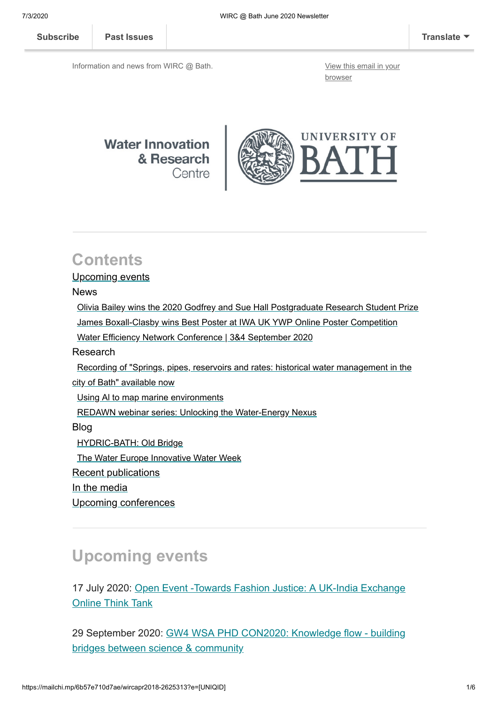**[Subscribe](http://eepurl.com/bKjQGL) [Past Issues](https://us12.campaign-archive.com/home/?u=d7614ea34eb388bb6f0caa07a&id=d688d5b543) [Translate](javascript:;)**

Information and news from WIRC @ Bath. [View this email in your](https://mailchi.mp/6b57e710d7ae/wircapr2018-2625313?e=[UNIQID])

browser



#### **Contents**

#### Upcoming events

News

 [Olivia Bailey wins the 2020 Godfrey and Sue Hall Postgraduate Research Student Prize](#page-1-0) [James Boxall-Clasby wins Best Poster at IWA UK YWP Online Poster Competition](#page-1-1) [Water Efficiency Network Conference | 3&4 September 2020](#page-1-2) Research  [Recording of "Springs, pipes, reservoirs and rates: historical water management in the](#page-2-0) city of Bath" available now [Using Al to map marine environments](#page-2-1) [REDAWN webinar series: Unlocking the Water-Energy Nexus](#page-3-0) Blog [HYDRIC-BATH: Old Bridge](#page-3-1) The Water Europe Innovative Water Week Recent publications [In the media](#page-4-0) [Upcoming conferences](#page-4-1)

## **Upcoming events**

[17 July 2020: Open Event -Towards Fashion Justice: A UK-India Exchange](https://www.eventbrite.co.uk/e/open-event-towards-fashion-justice-a-uk-india-exchange-think-tank-webinar-registration-106086280922) Online Think Tank

[29 September 2020: GW4 WSA PHD CON2020: Knowledge flow - building](https://www.gw4water.com/events/gw4-wsa-phd-con2020/) bridges between science & community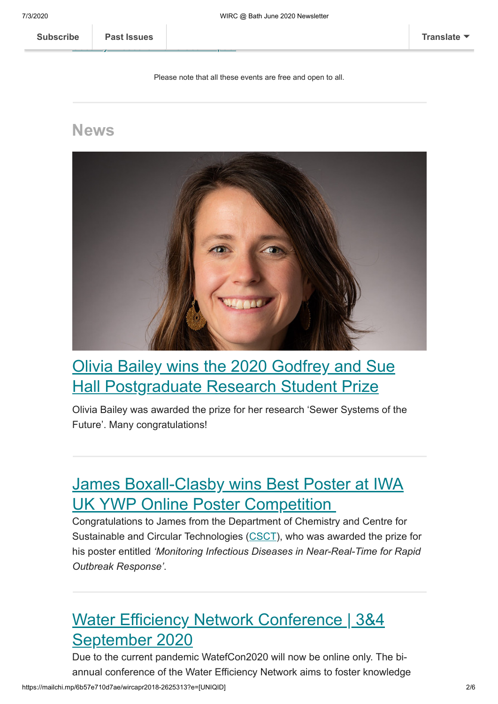Security: Research for Global Impact of Global Impact of Global Impact of Global Impact of Global Impact of Glo

Please note that all these events are free and open to all.

#### **News**



## <span id="page-1-0"></span>[Olivia Bailey wins the 2020 Godfrey and Sue](https://www.bath.ac.uk/announcements/olivia-bailey-wins-the-2020-godfrey-and-sue-hall-postgraduate-research-student-prize/) **Hall Postgraduate Research Student Prize**

Olivia Bailey was awarded the prize for her research 'Sewer Systems of the Future'. Many congratulations!

## <span id="page-1-1"></span>[James Boxall-Clasby wins Best Poster at IWA](https://www.instituteofwater.org.uk/2020/06/18/iwa-uk-ywp-online-poster-competition-winners-announced/) UK YWP Online Poster Competition

Congratulations to James from the Department of Chemistry and Centre for Sustainable and Circular Technologies ([CSCT\)](https://www.csct.ac.uk/), who was awarded the prize for his poster entitled *'Monitoring Infectious Diseases in Near-Real-Time for Rapid Outbreak Response'*.

# <span id="page-1-2"></span>[Water Efficiency Network Conference | 3&4](https://www.watefnetwork.co.uk/conference2020) September 2020

https://mailchi.mp/6b57e710d7ae/wircapr2018-2625313?e=[UNIQID] 2/6 Due to the current pandemic WatefCon2020 will now be online only. The biannual conference of the Water Efficiency Network aims to foster knowledge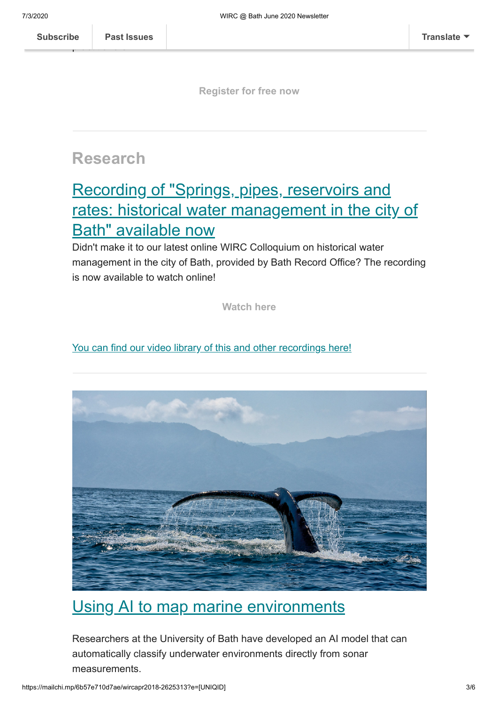practitioners.

**[Register for free now](https://www.eventbrite.co.uk/e/watefcon2020-online-conference-moving-towards-water-resilient-communities-tickets-108833734630)**

## **Research**

# <span id="page-2-0"></span>Recording of "Springs, pipes, reservoirs and [rates: historical water management in the city of](https://www.youtube.com/watch?v=qHXPaEfkPGw&feature=youtu.be) Bath" available now

Didn't make it to our latest online WIRC Colloquium on historical water management in the city of Bath, provided by Bath Record Office? The recording is now available to watch online!

**[Watch here](https://www.youtube.com/watch?v=qHXPaEfkPGw&feature=youtu.be)**

[You can find our video library of this and other recordings here!](https://www.bath.ac.uk/corporate-information/?f.Department+or+group%7CX=Water+Innovation+%26+Research+Centre&f.Type%7CY=Speech)



### <span id="page-2-1"></span>[Using AI to map marine environments](https://www.bath.ac.uk/announcements/using-ai-to-map-marine-environments/)

Researchers at the University of Bath have developed an AI model that can automatically classify underwater environments directly from sonar measurements.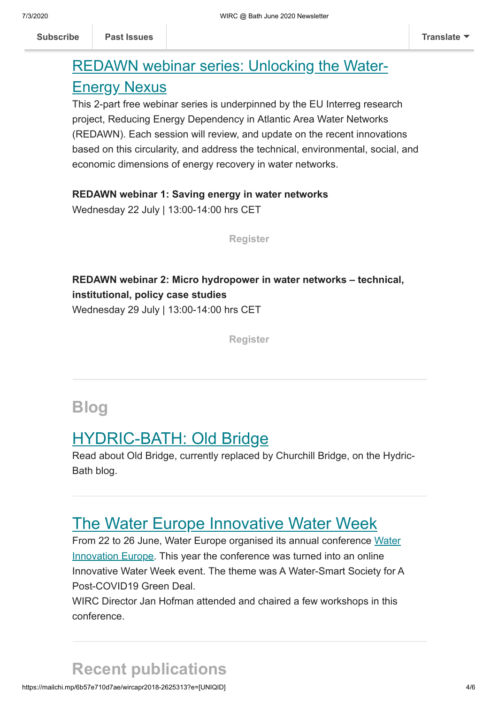## <span id="page-3-0"></span>[REDAWN webinar series: Unlocking the Water-](https://www.redawn.eu/events)Energy Nexus

This 2-part free webinar series is underpinned by the EU Interreg research project, Reducing Energy Dependency in Atlantic Area Water Networks (REDAWN). Each session will review, and update on the recent innovations based on this circularity, and address the technical, environmental, social, and economic dimensions of energy recovery in water networks.

#### **REDAWN webinar 1: Saving energy in water networks**

Wednesday 22 July | 13:00-14:00 hrs CET

**[Register](https://www.eventbrite.co.uk/e/saving-energy-in-water-networks-tickets-110120194466)**

#### **REDAWN webinar 2: Micro hydropower in water networks – technical, institutional, policy case studies**  Wednesday 29 July | 13:00-14:00 hrs CET

**[Register](https://www.eventbrite.co.uk/e/micro-hydropower-in-water-networks-case-studies-from-redawn-tickets-110130509318)**

### **Blog**

## <span id="page-3-1"></span>[HYDRIC-BATH: Old Bridge](https://hydricbath.weebly.com/blog/old-bridge)

Read about Old Bridge, currently replaced by Churchill Bridge, on the Hydric-Bath blog.

### [The Water Europe Innovative Water Week](http://blogs.bath.ac.uk/water/2020/06/30/the-water-europe-innovative-water-week/)

[From 22 to 26 June, Water Europe organised its annual conference Water](https://waterinnovationeurope.eu/) Innovation Europe. This year the conference was turned into an online Innovative Water Week event. The theme was A Water-Smart Society for A Post-COVID19 Green Deal.

WIRC Director Jan Hofman attended and chaired a few workshops in this conference.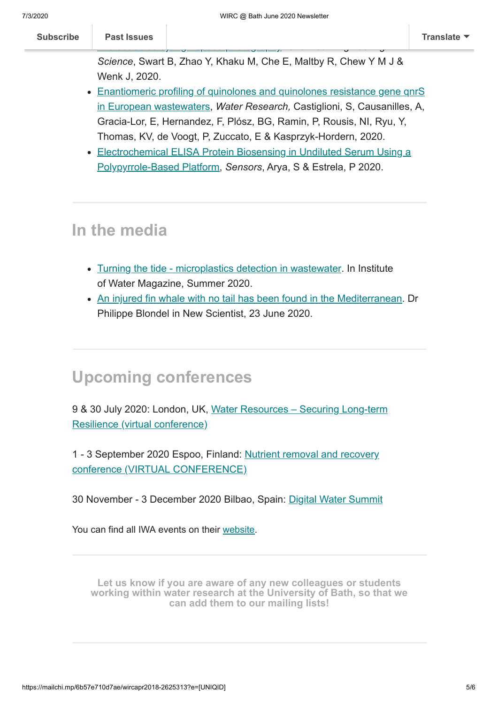| <b>Subscribe</b>                                                                             | <b>Past Issues</b>                                                         |  | Translate $\blacktriangledown$ |
|----------------------------------------------------------------------------------------------|----------------------------------------------------------------------------|--|--------------------------------|
| $\overline{\phantom{0}}$<br>Science, Swart B, Zhao Y, Khaku M, Che E, Maltby R, Chew Y M J & |                                                                            |  |                                |
|                                                                                              | Wenk J, 2020.                                                              |  |                                |
|                                                                                              | • Enantiomeric profiling of quinolones and quinolones resistance gene gnrS |  |                                |
| in European western terms Ulater Desearch Castinliani C. Causanilles, A.                     |                                                                            |  |                                |

- in European wastewaters, *Water Research,* Castiglioni, S, Causanilles, A, Gracia-Lor, E, Hernandez, F, Plósz, BG, Ramin, P, Rousis, NI, Ryu, Y, Thomas, KV, de Voogt, P, Zuccato, E & Kasprzyk-Hordern, 2020.
- [Electrochemical ELISA Protein Biosensing in Undiluted Serum Using a](https://www.mdpi.com/1424-8220/20/10/2857) Polypyrrole-Based Platform, *Sensors*, Arya, S & Estrela, P 2020.

## <span id="page-4-0"></span>**In the media**

- [Turning the tide microplastics detection in wastewater](https://library.myebook.com/InstituteofWaterMagazine/summer-2020/2564/#page/73). In Institute of Water Magazine, Summer 2020.
- [An injured fin whale with no tail has been found in the Mediterranean.](https://institutions-newscientist-com.ezproxy1.bath.ac.uk/article/2246837-an-injured-fin-whale-with-no-tail-has-been-found-in-the-mediterranean/) Dr Philippe Blondel in New Scientist, 23 June 2020.

## <span id="page-4-1"></span>**Upcoming conferences**

[9 & 30 July 2020: London, UK, Water Resources – Securing Long-term](https://iwa-network.org/events/water-resources-securing-long-term-resilience-virtual-conference/) Resilience (virtual conference)

[1 - 3 September 2020 Espoo, Finland: Nutrient removal and recovery](https://iwa-network.org/events/nutrient-removal-and-recovery-conference/) conference (VIRTUAL CONFERENCE)

30 November - 3 December 2020 Bilbao, Spain: [Digital Water Summit](https://iwa-network.org/events/digital-water-summit/)

You can find all IWA events on their [website](http://www.iwa-network.org/all-events/).

**Let us know if you are aware of any new colleagues or students [working within water research at the University of Bath, so that we](mailto:wirc-enquiries@bath.ac.uk?subject=New%20WIRC%20contact) can add them to our mailing lists!**